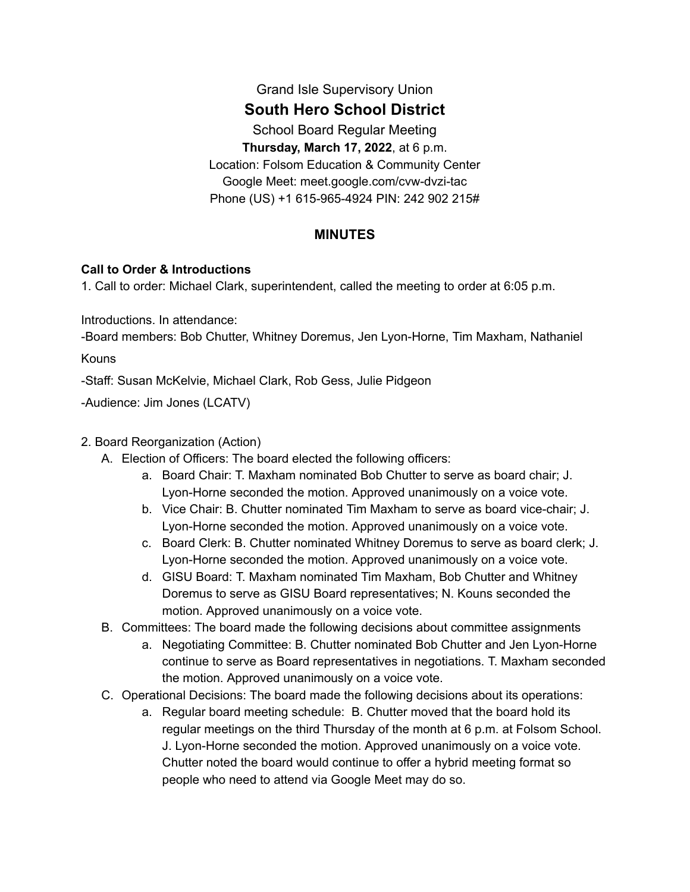# Grand Isle Supervisory Union

# **South Hero School District**

School Board Regular Meeting

**Thursday, March 17, 2022**, at 6 p.m.

Location: Folsom Education & Community Center Google Meet: meet.google.com/cvw-dvzi-tac Phone (US) +1 615-965-4924 PIN: 242 902 215#

# **MINUTES**

### **Call to Order & Introductions**

1. Call to order: Michael Clark, superintendent, called the meeting to order at 6:05 p.m.

Introductions. In attendance:

-Board members: Bob Chutter, Whitney Doremus, Jen Lyon-Horne, Tim Maxham, Nathaniel

Kouns

-Staff: Susan McKelvie, Michael Clark, Rob Gess, Julie Pidgeon

-Audience: Jim Jones (LCATV)

## 2. Board Reorganization (Action)

- A. Election of Officers: The board elected the following officers:
	- a. Board Chair: T. Maxham nominated Bob Chutter to serve as board chair; J. Lyon-Horne seconded the motion. Approved unanimously on a voice vote.
	- b. Vice Chair: B. Chutter nominated Tim Maxham to serve as board vice-chair; J. Lyon-Horne seconded the motion. Approved unanimously on a voice vote.
	- c. Board Clerk: B. Chutter nominated Whitney Doremus to serve as board clerk; J. Lyon-Horne seconded the motion. Approved unanimously on a voice vote.
	- d. GISU Board: T. Maxham nominated Tim Maxham, Bob Chutter and Whitney Doremus to serve as GISU Board representatives; N. Kouns seconded the motion. Approved unanimously on a voice vote.
- B. Committees: The board made the following decisions about committee assignments
	- a. Negotiating Committee: B. Chutter nominated Bob Chutter and Jen Lyon-Horne continue to serve as Board representatives in negotiations. T. Maxham seconded the motion. Approved unanimously on a voice vote.
- C. Operational Decisions: The board made the following decisions about its operations:
	- a. Regular board meeting schedule: B. Chutter moved that the board hold its regular meetings on the third Thursday of the month at 6 p.m. at Folsom School. J. Lyon-Horne seconded the motion. Approved unanimously on a voice vote. Chutter noted the board would continue to offer a hybrid meeting format so people who need to attend via Google Meet may do so.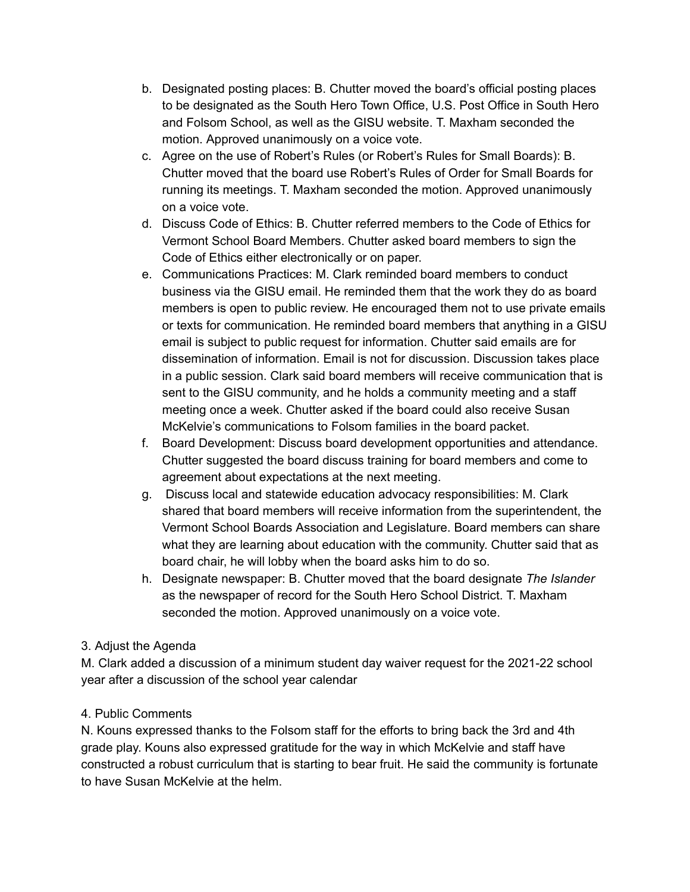- b. Designated posting places: B. Chutter moved the board's official posting places to be designated as the South Hero Town Office, U.S. Post Office in South Hero and Folsom School, as well as the GISU website. T. Maxham seconded the motion. Approved unanimously on a voice vote.
- c. Agree on the use of Robert's Rules (or Robert's Rules for Small Boards): B. Chutter moved that the board use Robert's Rules of Order for Small Boards for running its meetings. T. Maxham seconded the motion. Approved unanimously on a voice vote.
- d. Discuss Code of Ethics: B. Chutter referred members to the Code of Ethics for Vermont School Board Members. Chutter asked board members to sign the Code of Ethics either electronically or on paper.
- e. Communications Practices: M. Clark reminded board members to conduct business via the GISU email. He reminded them that the work they do as board members is open to public review. He encouraged them not to use private emails or texts for communication. He reminded board members that anything in a GISU email is subject to public request for information. Chutter said emails are for dissemination of information. Email is not for discussion. Discussion takes place in a public session. Clark said board members will receive communication that is sent to the GISU community, and he holds a community meeting and a staff meeting once a week. Chutter asked if the board could also receive Susan McKelvie's communications to Folsom families in the board packet.
- f. Board Development: Discuss board development opportunities and attendance. Chutter suggested the board discuss training for board members and come to agreement about expectations at the next meeting.
- g. Discuss local and statewide education advocacy responsibilities: M. Clark shared that board members will receive information from the superintendent, the Vermont School Boards Association and Legislature. Board members can share what they are learning about education with the community. Chutter said that as board chair, he will lobby when the board asks him to do so.
- h. Designate newspaper: B. Chutter moved that the board designate *The Islander* as the newspaper of record for the South Hero School District. T. Maxham seconded the motion. Approved unanimously on a voice vote.

# 3. Adjust the Agenda

M. Clark added a discussion of a minimum student day waiver request for the 2021-22 school year after a discussion of the school year calendar

### 4. Public Comments

N. Kouns expressed thanks to the Folsom staff for the efforts to bring back the 3rd and 4th grade play. Kouns also expressed gratitude for the way in which McKelvie and staff have constructed a robust curriculum that is starting to bear fruit. He said the community is fortunate to have Susan McKelvie at the helm.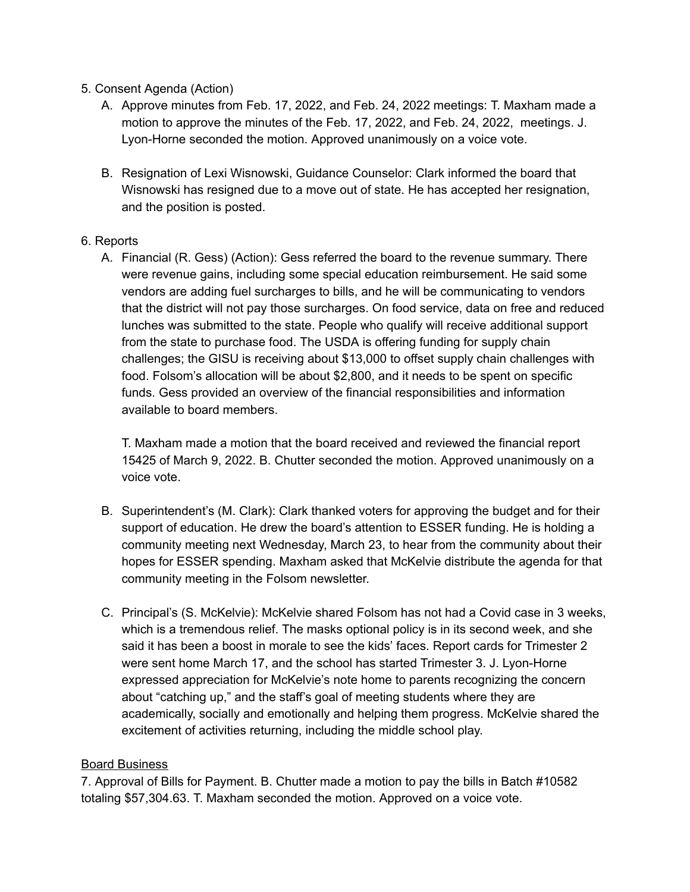- 5. Consent Agenda (Action)
	- A. Approve minutes from Feb. 17, 2022, and Feb. 24, 2022 meetings: T. Maxham made a motion to approve the minutes of the Feb. 17, 2022, and Feb. 24, 2022, meetings. J. Lyon-Horne seconded the motion. Approved unanimously on a voice vote.
	- B. Resignation of Lexi Wisnowski, Guidance Counselor: Clark informed the board that Wisnowski has resigned due to a move out of state. He has accepted her resignation, and the position is posted.

#### 6. Reports

A. Financial (R. Gess) (Action): Gess referred the board to the revenue summary. There were revenue gains, including some special education reimbursement. He said some vendors are adding fuel surcharges to bills, and he will be communicating to vendors that the district will not pay those surcharges. On food service, data on free and reduced lunches was submitted to the state. People who qualify will receive additional support from the state to purchase food. The USDA is offering funding for supply chain challenges; the GISU is receiving about \$13,000 to offset supply chain challenges with food. Folsom's allocation will be about \$2,800, and it needs to be spent on specific funds. Gess provided an overview of the financial responsibilities and information available to board members.

T. Maxham made a motion that the board received and reviewed the financial report 15425 of March 9, 2022. B. Chutter seconded the motion. Approved unanimously on a voice vote.

- B. Superintendent's (M. Clark): Clark thanked voters for approving the budget and for their support of education. He drew the board's attention to ESSER funding. He is holding a community meeting next Wednesday, March 23, to hear from the community about their hopes for ESSER spending. Maxham asked that McKelvie distribute the agenda for that community meeting in the Folsom newsletter.
- C. Principal's (S. McKelvie): McKelvie shared Folsom has not had a Covid case in 3 weeks, which is a tremendous relief. The masks optional policy is in its second week, and she said it has been a boost in morale to see the kids' faces. Report cards for Trimester 2 were sent home March 17, and the school has started Trimester 3. J. Lyon-Horne expressed appreciation for McKelvie's note home to parents recognizing the concern about "catching up," and the staff's goal of meeting students where they are academically, socially and emotionally and helping them progress. McKelvie shared the excitement of activities returning, including the middle school play.

### Board Business

7. Approval of Bills for Payment. B. Chutter made a motion to pay the bills in Batch #10582 totaling \$57,304.63. T. Maxham seconded the motion. Approved on a voice vote.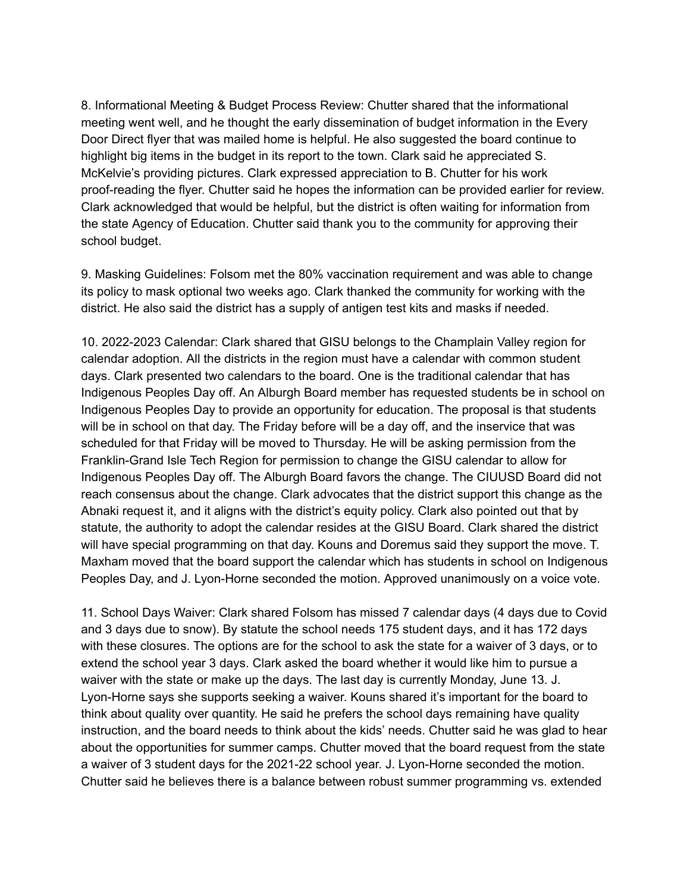8. Informational Meeting & Budget Process Review: Chutter shared that the informational meeting went well, and he thought the early dissemination of budget information in the Every Door Direct flyer that was mailed home is helpful. He also suggested the board continue to highlight big items in the budget in its report to the town. Clark said he appreciated S. McKelvie's providing pictures. Clark expressed appreciation to B. Chutter for his work proof-reading the flyer. Chutter said he hopes the information can be provided earlier for review. Clark acknowledged that would be helpful, but the district is often waiting for information from the state Agency of Education. Chutter said thank you to the community for approving their school budget.

9. Masking Guidelines: Folsom met the 80% vaccination requirement and was able to change its policy to mask optional two weeks ago. Clark thanked the community for working with the district. He also said the district has a supply of antigen test kits and masks if needed.

10. 2022-2023 Calendar: Clark shared that GISU belongs to the Champlain Valley region for calendar adoption. All the districts in the region must have a calendar with common student days. Clark presented two calendars to the board. One is the traditional calendar that has Indigenous Peoples Day off. An Alburgh Board member has requested students be in school on Indigenous Peoples Day to provide an opportunity for education. The proposal is that students will be in school on that day. The Friday before will be a day off, and the inservice that was scheduled for that Friday will be moved to Thursday. He will be asking permission from the Franklin-Grand Isle Tech Region for permission to change the GISU calendar to allow for Indigenous Peoples Day off. The Alburgh Board favors the change. The CIUUSD Board did not reach consensus about the change. Clark advocates that the district support this change as the Abnaki request it, and it aligns with the district's equity policy. Clark also pointed out that by statute, the authority to adopt the calendar resides at the GISU Board. Clark shared the district will have special programming on that day. Kouns and Doremus said they support the move. T. Maxham moved that the board support the calendar which has students in school on Indigenous Peoples Day, and J. Lyon-Horne seconded the motion. Approved unanimously on a voice vote.

11. School Days Waiver: Clark shared Folsom has missed 7 calendar days (4 days due to Covid and 3 days due to snow). By statute the school needs 175 student days, and it has 172 days with these closures. The options are for the school to ask the state for a waiver of 3 days, or to extend the school year 3 days. Clark asked the board whether it would like him to pursue a waiver with the state or make up the days. The last day is currently Monday, June 13. J. Lyon-Horne says she supports seeking a waiver. Kouns shared it's important for the board to think about quality over quantity. He said he prefers the school days remaining have quality instruction, and the board needs to think about the kids' needs. Chutter said he was glad to hear about the opportunities for summer camps. Chutter moved that the board request from the state a waiver of 3 student days for the 2021-22 school year. J. Lyon-Horne seconded the motion. Chutter said he believes there is a balance between robust summer programming vs. extended